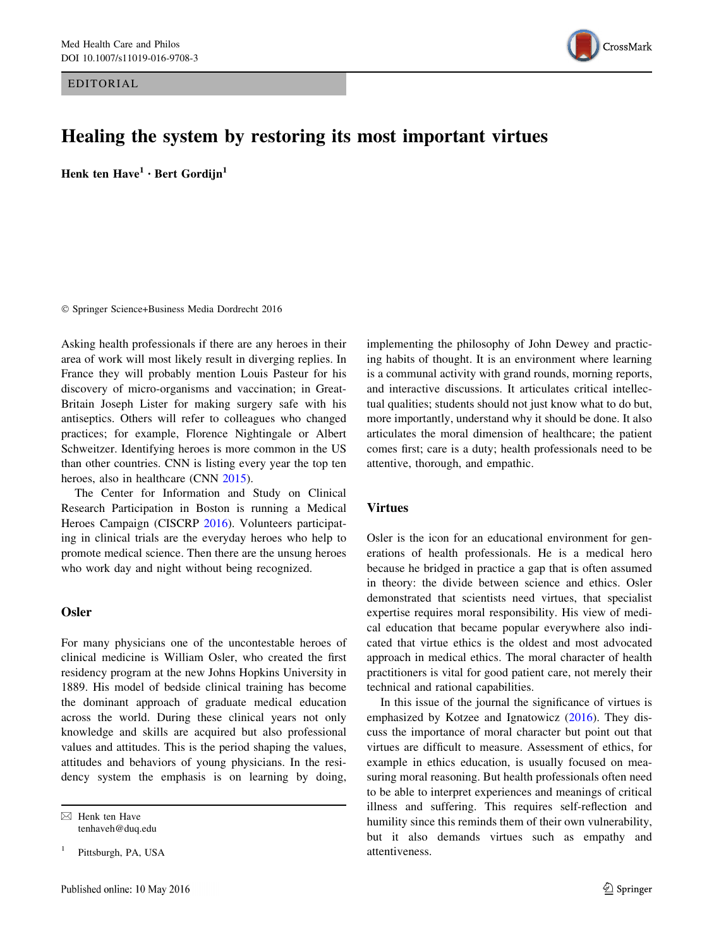EDITORIAL



# Healing the system by restoring its most important virtues

Henk ten  $Have<sup>1</sup> · Bert Gordijn<sup>1</sup>$ 

- Springer Science+Business Media Dordrecht 2016

Asking health professionals if there are any heroes in their area of work will most likely result in diverging replies. In France they will probably mention Louis Pasteur for his discovery of micro-organisms and vaccination; in Great-Britain Joseph Lister for making surgery safe with his antiseptics. Others will refer to colleagues who changed practices; for example, Florence Nightingale or Albert Schweitzer. Identifying heroes is more common in the US than other countries. CNN is listing every year the top ten heroes, also in healthcare (CNN [2015\)](#page-1-0).

The Center for Information and Study on Clinical Research Participation in Boston is running a Medical Heroes Campaign (CISCRP [2016](#page-1-0)). Volunteers participating in clinical trials are the everyday heroes who help to promote medical science. Then there are the unsung heroes who work day and night without being recognized.

### **Osler**

For many physicians one of the uncontestable heroes of clinical medicine is William Osler, who created the first residency program at the new Johns Hopkins University in 1889. His model of bedside clinical training has become the dominant approach of graduate medical education across the world. During these clinical years not only knowledge and skills are acquired but also professional values and attitudes. This is the period shaping the values, attitudes and behaviors of young physicians. In the residency system the emphasis is on learning by doing,

Pittsburgh, PA, USA

implementing the philosophy of John Dewey and practicing habits of thought. It is an environment where learning is a communal activity with grand rounds, morning reports, and interactive discussions. It articulates critical intellectual qualities; students should not just know what to do but, more importantly, understand why it should be done. It also articulates the moral dimension of healthcare; the patient comes first; care is a duty; health professionals need to be attentive, thorough, and empathic.

### Virtues

Osler is the icon for an educational environment for generations of health professionals. He is a medical hero because he bridged in practice a gap that is often assumed in theory: the divide between science and ethics. Osler demonstrated that scientists need virtues, that specialist expertise requires moral responsibility. His view of medical education that became popular everywhere also indicated that virtue ethics is the oldest and most advocated approach in medical ethics. The moral character of health practitioners is vital for good patient care, not merely their technical and rational capabilities.

In this issue of the journal the significance of virtues is emphasized by Kotzee and Ignatowicz ([2016\)](#page-1-0). They discuss the importance of moral character but point out that virtues are difficult to measure. Assessment of ethics, for example in ethics education, is usually focused on measuring moral reasoning. But health professionals often need to be able to interpret experiences and meanings of critical illness and suffering. This requires self-reflection and humility since this reminds them of their own vulnerability, but it also demands virtues such as empathy and attentiveness.

 $\boxtimes$  Henk ten Have tenhaveh@duq.edu